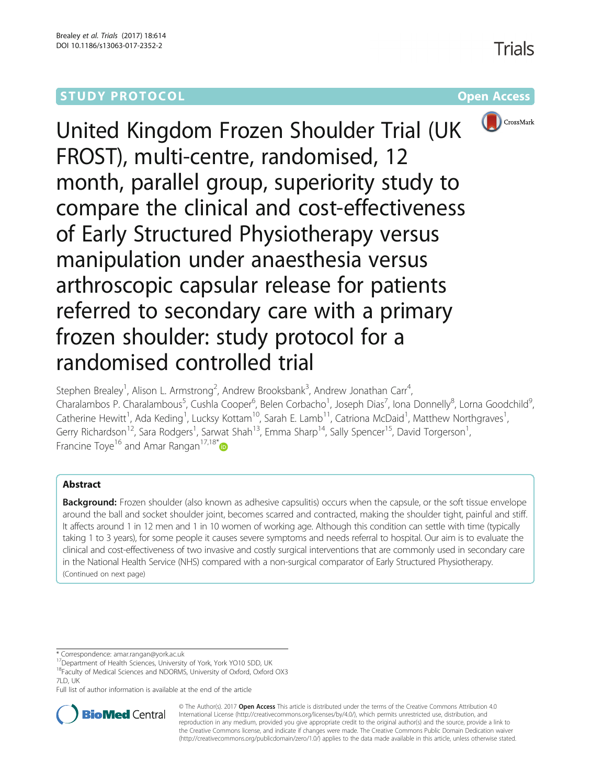# **STUDY PROTOCOL CONSUMING THE RESERVE ACCESS**



United Kingdom Frozen Shoulder Trial (UK FROST), multi-centre, randomised, 12 month, parallel group, superiority study to compare the clinical and cost-effectiveness of Early Structured Physiotherapy versus manipulation under anaesthesia versus arthroscopic capsular release for patients referred to secondary care with a primary frozen shoulder: study protocol for a randomised controlled trial

Stephen Brealey<sup>1</sup>, Alison L. Armstrong<sup>2</sup>, Andrew Brooksbank<sup>3</sup>, Andrew Jonathan Carr<sup>4</sup> , Charalambos P. Charalambous<sup>5</sup>, Cushla Cooper<sup>6</sup>, Belen Corbacho<sup>1</sup>, Joseph Dias<sup>7</sup>, Iona Donnelly<sup>8</sup>, Lorna Goodchild<sup>9</sup> , Catherine Hewitt<sup>1</sup>, Ada Keding<sup>1</sup>, Lucksy Kottam<sup>10</sup>, Sarah E. Lamb<sup>11</sup>, Catriona McDaid<sup>1</sup>, Matthew Northgraves<sup>1</sup> , Gerry Richardson<sup>12</sup>, Sara Rodgers<sup>1</sup>, Sarwat Shah<sup>13</sup>, Emma Sharp<sup>14</sup>, Sally Spencer<sup>15</sup>, David Torgerson<sup>1</sup> , Francine Toye<sup>16</sup> and Amar Rangan<sup>17,18\*</sup> $\bullet$ 

# Abstract

Background: Frozen shoulder (also known as adhesive capsulitis) occurs when the capsule, or the soft tissue envelope around the ball and socket shoulder joint, becomes scarred and contracted, making the shoulder tight, painful and stiff. It affects around 1 in 12 men and 1 in 10 women of working age. Although this condition can settle with time (typically taking 1 to 3 years), for some people it causes severe symptoms and needs referral to hospital. Our aim is to evaluate the clinical and cost-effectiveness of two invasive and costly surgical interventions that are commonly used in secondary care in the National Health Service (NHS) compared with a non-surgical comparator of Early Structured Physiotherapy. (Continued on next page)

\* Correspondence: [amar.rangan@york.ac.uk](mailto:amar.rangan@york.ac.uk) 17Department of Health Sciences, University of York, York YO10 5DD, UK

18Faculty of Medical Sciences and NDORMS, University of Oxford, Oxford OX3 7LD, UK

Full list of author information is available at the end of the article



© The Author(s). 2017 **Open Access** This article is distributed under the terms of the Creative Commons Attribution 4.0 International License [\(http://creativecommons.org/licenses/by/4.0/](http://creativecommons.org/licenses/by/4.0/)), which permits unrestricted use, distribution, and reproduction in any medium, provided you give appropriate credit to the original author(s) and the source, provide a link to the Creative Commons license, and indicate if changes were made. The Creative Commons Public Domain Dedication waiver [\(http://creativecommons.org/publicdomain/zero/1.0/](http://creativecommons.org/publicdomain/zero/1.0/)) applies to the data made available in this article, unless otherwise stated.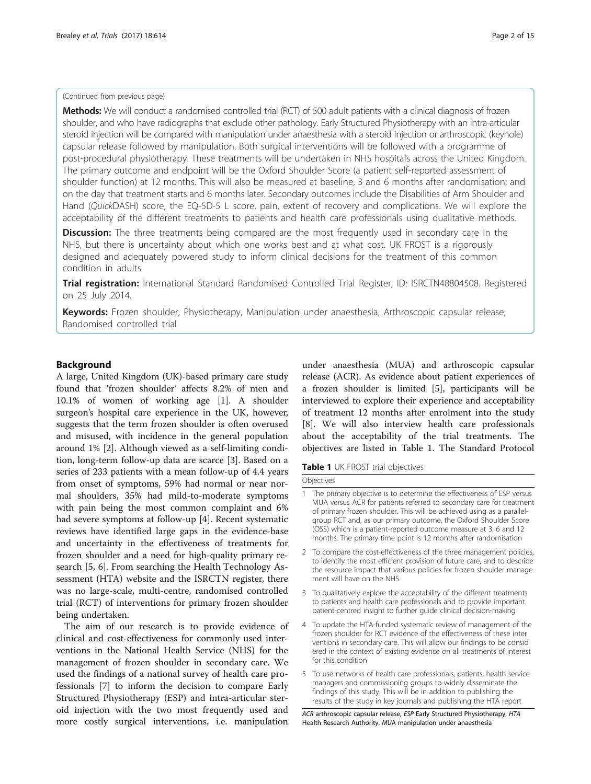# (Continued from previous page)

Methods: We will conduct a randomised controlled trial (RCT) of 500 adult patients with a clinical diagnosis of frozen shoulder, and who have radiographs that exclude other pathology. Early Structured Physiotherapy with an intra-articular steroid injection will be compared with manipulation under anaesthesia with a steroid injection or arthroscopic (keyhole) capsular release followed by manipulation. Both surgical interventions will be followed with a programme of post-procedural physiotherapy. These treatments will be undertaken in NHS hospitals across the United Kingdom. The primary outcome and endpoint will be the Oxford Shoulder Score (a patient self-reported assessment of shoulder function) at 12 months. This will also be measured at baseline, 3 and 6 months after randomisation; and on the day that treatment starts and 6 months later. Secondary outcomes include the Disabilities of Arm Shoulder and Hand (QuickDASH) score, the EQ-5D-5 L score, pain, extent of recovery and complications. We will explore the acceptability of the different treatments to patients and health care professionals using qualitative methods.

**Discussion:** The three treatments being compared are the most frequently used in secondary care in the NHS, but there is uncertainty about which one works best and at what cost. UK FROST is a rigorously designed and adequately powered study to inform clinical decisions for the treatment of this common condition in adults.

Trial registration: International Standard Randomised Controlled Trial Register, ID: [ISRCTN48804508](http://www.isrctn.com/ISRCTN48804508). Registered on 25 July 2014.

Keywords: Frozen shoulder, Physiotherapy, Manipulation under anaesthesia, Arthroscopic capsular release, Randomised controlled trial

# Background

A large, United Kingdom (UK)-based primary care study found that 'frozen shoulder' affects 8.2% of men and 10.1% of women of working age [\[1](#page-13-0)]. A shoulder surgeon's hospital care experience in the UK, however, suggests that the term frozen shoulder is often overused and misused, with incidence in the general population around 1% [\[2\]](#page-13-0). Although viewed as a self-limiting condition, long-term follow-up data are scarce [\[3\]](#page-13-0). Based on a series of 233 patients with a mean follow-up of 4.4 years from onset of symptoms, 59% had normal or near normal shoulders, 35% had mild-to-moderate symptoms with pain being the most common complaint and 6% had severe symptoms at follow-up [[4\]](#page-13-0). Recent systematic reviews have identified large gaps in the evidence-base and uncertainty in the effectiveness of treatments for frozen shoulder and a need for high-quality primary research [[5, 6\]](#page-13-0). From searching the Health Technology Assessment (HTA) website and the ISRCTN register, there was no large-scale, multi-centre, randomised controlled trial (RCT) of interventions for primary frozen shoulder being undertaken.

The aim of our research is to provide evidence of clinical and cost-effectiveness for commonly used interventions in the National Health Service (NHS) for the management of frozen shoulder in secondary care. We used the findings of a national survey of health care professionals [\[7](#page-13-0)] to inform the decision to compare Early Structured Physiotherapy (ESP) and intra-articular steroid injection with the two most frequently used and more costly surgical interventions, i.e. manipulation

under anaesthesia (MUA) and arthroscopic capsular release (ACR). As evidence about patient experiences of a frozen shoulder is limited [\[5](#page-13-0)], participants will be interviewed to explore their experience and acceptability of treatment 12 months after enrolment into the study [[8\]](#page-13-0). We will also interview health care professionals about the acceptability of the trial treatments. The objectives are listed in Table 1. The Standard Protocol

### Table 1 UK FROST trial objectives

| Objectives                                                                                                                                                                                                                |  |  |  |  |  |  |  |  |
|---------------------------------------------------------------------------------------------------------------------------------------------------------------------------------------------------------------------------|--|--|--|--|--|--|--|--|
| 1 The primary objective is to determine the effectiveness of ESP versus<br>MUA versus ACR for patients referred to secondary care for treatment<br>of primary frozen shoulder. This will be achieved using as a parallel- |  |  |  |  |  |  |  |  |
| group RCT and, as our primary outcome, the Oxford Shoulder Score                                                                                                                                                          |  |  |  |  |  |  |  |  |
| (OSS) which is a patient-reported outcome measure at 3, 6 and 12<br>months. The primary time point is 12 months after randomisation                                                                                       |  |  |  |  |  |  |  |  |

- 2 To compare the cost-effectiveness of the three management policies, to identify the most efficient provision of future care, and to describe the resource impact that various policies for frozen shoulder manage ment will have on the NHS
- 3 To qualitatively explore the acceptability of the different treatments to patients and health care professionals and to provide important patient-centred insight to further guide clinical decision-making
- 4 To update the HTA-funded systematic review of management of the frozen shoulder for RCT evidence of the effectiveness of these inter ventions in secondary care. This will allow our findings to be consid ered in the context of existing evidence on all treatments of interest for this condition
- 5 To use networks of health care professionals, patients, health service managers and commissioning groups to widely disseminate the findings of this study. This will be in addition to publishing the results of the study in key journals and publishing the HTA report

ACR arthroscopic capsular release, ESP Early Structured Physiotherapy, HTA Health Research Authority, MUA manipulation under anaesthesia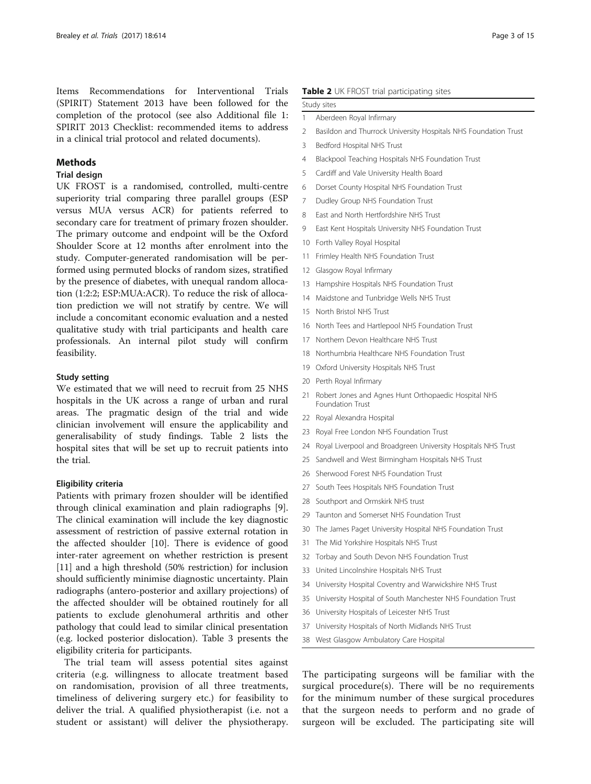Items Recommendations for Interventional Trials (SPIRIT) Statement 2013 have been followed for the completion of the protocol (see also Additional file [1](#page-12-0): SPIRIT 2013 Checklist: recommended items to address in a clinical trial protocol and related documents).

# Methods

### Trial design

UK FROST is a randomised, controlled, multi-centre superiority trial comparing three parallel groups (ESP versus MUA versus ACR) for patients referred to secondary care for treatment of primary frozen shoulder. The primary outcome and endpoint will be the Oxford Shoulder Score at 12 months after enrolment into the study. Computer-generated randomisation will be performed using permuted blocks of random sizes, stratified by the presence of diabetes, with unequal random allocation (1:2:2; ESP:MUA:ACR). To reduce the risk of allocation prediction we will not stratify by centre. We will include a concomitant economic evaluation and a nested qualitative study with trial participants and health care professionals. An internal pilot study will confirm feasibility.

## Study setting

We estimated that we will need to recruit from 25 NHS hospitals in the UK across a range of urban and rural areas. The pragmatic design of the trial and wide clinician involvement will ensure the applicability and generalisability of study findings. Table 2 lists the hospital sites that will be set up to recruit patients into the trial.

### Eligibility criteria

Patients with primary frozen shoulder will be identified through clinical examination and plain radiographs [\[9](#page-13-0)]. The clinical examination will include the key diagnostic assessment of restriction of passive external rotation in the affected shoulder [\[10](#page-13-0)]. There is evidence of good inter-rater agreement on whether restriction is present [[11\]](#page-13-0) and a high threshold (50% restriction) for inclusion should sufficiently minimise diagnostic uncertainty. Plain radiographs (antero-posterior and axillary projections) of the affected shoulder will be obtained routinely for all patients to exclude glenohumeral arthritis and other pathology that could lead to similar clinical presentation (e.g. locked posterior dislocation). Table [3](#page-3-0) presents the eligibility criteria for participants.

The trial team will assess potential sites against criteria (e.g. willingness to allocate treatment based on randomisation, provision of all three treatments, timeliness of delivering surgery etc.) for feasibility to deliver the trial. A qualified physiotherapist (i.e. not a student or assistant) will deliver the physiotherapy.

### Table 2 UK FROST trial participating sites

| Study sites |  |
|-------------|--|
|-------------|--|

- 1 Aberdeen Royal Infirmary
- 2 Basildon and Thurrock University Hospitals NHS Foundation Trust
- 3 Bedford Hospital NHS Trust
- 4 Blackpool Teaching Hospitals NHS Foundation Trust
- 5 Cardiff and Vale University Health Board
- 6 Dorset County Hospital NHS Foundation Trust
- 7 Dudley Group NHS Foundation Trust
- 8 East and North Hertfordshire NHS Trust
- 9 East Kent Hospitals University NHS Foundation Trust
- 10 Forth Valley Royal Hospital
- 11 Frimley Health NHS Foundation Trust
- 12 Glasgow Royal Infirmary
- 13 Hampshire Hospitals NHS Foundation Trust
- 14 Maidstone and Tunbridge Wells NHS Trust
- 15 North Bristol NHS Trust
- 16 North Tees and Hartlepool NHS Foundation Trust
- 17 Northern Devon Healthcare NHS Trust
- 18 Northumbria Healthcare NHS Foundation Trust
- 19 Oxford University Hospitals NHS Trust
- 20 Perth Royal Infirmary
- 21 Robert Jones and Agnes Hunt Orthopaedic Hospital NHS Foundation Trust
- 22 Royal Alexandra Hospital
- 23 Royal Free London NHS Foundation Trust
- 24 Royal Liverpool and Broadgreen University Hospitals NHS Trust
- 25 Sandwell and West Birmingham Hospitals NHS Trust
- 26 Sherwood Forest NHS Foundation Trust
- 27 South Tees Hospitals NHS Foundation Trust
- 28 Southport and Ormskirk NHS trust
- 29 Taunton and Somerset NHS Foundation Trust
- 30 The James Paget University Hospital NHS Foundation Trust
- 31 The Mid Yorkshire Hospitals NHS Trust
- 32 Torbay and South Devon NHS Foundation Trust
- 33 United Lincolnshire Hospitals NHS Trust
- 34 University Hospital Coventry and Warwickshire NHS Trust
- 35 University Hospital of South Manchester NHS Foundation Trust
- 36 University Hospitals of Leicester NHS Trust
- 37 University Hospitals of North Midlands NHS Trust
- 38 West Glasgow Ambulatory Care Hospital

The participating surgeons will be familiar with the surgical procedure(s). There will be no requirements for the minimum number of these surgical procedures that the surgeon needs to perform and no grade of surgeon will be excluded. The participating site will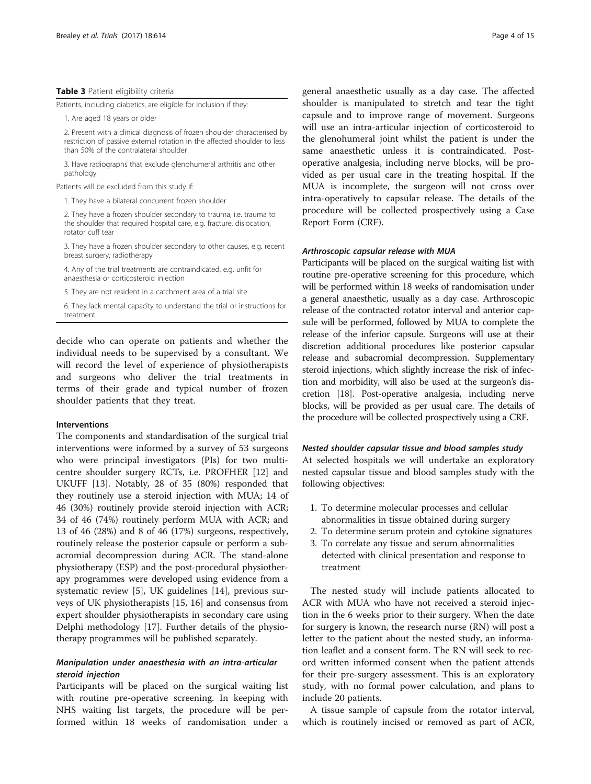### <span id="page-3-0"></span>Table 3 Patient eligibility criteria

Patients, including diabetics, are eligible for inclusion if they:

1. Are aged 18 years or older

2. Present with a clinical diagnosis of frozen shoulder characterised by restriction of passive external rotation in the affected shoulder to less than 50% of the contralateral shoulder

3. Have radiographs that exclude glenohumeral arthritis and other pathology

Patients will be excluded from this study if:

1. They have a bilateral concurrent frozen shoulder

2. They have a frozen shoulder secondary to trauma, i.e. trauma to the shoulder that required hospital care, e.g. fracture, dislocation, rotator cuff tear

3. They have a frozen shoulder secondary to other causes, e.g. recent breast surgery, radiotherapy

4. Any of the trial treatments are contraindicated, e.g. unfit for anaesthesia or corticosteroid injection

5. They are not resident in a catchment area of a trial site

6. They lack mental capacity to understand the trial or instructions for treatment

decide who can operate on patients and whether the individual needs to be supervised by a consultant. We will record the level of experience of physiotherapists and surgeons who deliver the trial treatments in terms of their grade and typical number of frozen shoulder patients that they treat.

### Interventions

The components and standardisation of the surgical trial interventions were informed by a survey of 53 surgeons who were principal investigators (PIs) for two multicentre shoulder surgery RCTs, i.e. PROFHER [[12\]](#page-13-0) and UKUFF [\[13\]](#page-13-0). Notably, 28 of 35 (80%) responded that they routinely use a steroid injection with MUA; 14 of 46 (30%) routinely provide steroid injection with ACR; 34 of 46 (74%) routinely perform MUA with ACR; and 13 of 46 (28%) and 8 of 46 (17%) surgeons, respectively, routinely release the posterior capsule or perform a subacromial decompression during ACR. The stand-alone physiotherapy (ESP) and the post-procedural physiotherapy programmes were developed using evidence from a systematic review [[5\]](#page-13-0), UK guidelines [[14](#page-13-0)], previous surveys of UK physiotherapists [[15,](#page-13-0) [16\]](#page-14-0) and consensus from expert shoulder physiotherapists in secondary care using Delphi methodology [\[17\]](#page-14-0). Further details of the physiotherapy programmes will be published separately.

# Manipulation under anaesthesia with an intra-articular steroid injection

Participants will be placed on the surgical waiting list with routine pre-operative screening. In keeping with NHS waiting list targets, the procedure will be performed within 18 weeks of randomisation under a general anaesthetic usually as a day case. The affected shoulder is manipulated to stretch and tear the tight capsule and to improve range of movement. Surgeons will use an intra-articular injection of corticosteroid to the glenohumeral joint whilst the patient is under the same anaesthetic unless it is contraindicated. Postoperative analgesia, including nerve blocks, will be provided as per usual care in the treating hospital. If the MUA is incomplete, the surgeon will not cross over intra-operatively to capsular release. The details of the procedure will be collected prospectively using a Case Report Form (CRF).

### Arthroscopic capsular release with MUA

Participants will be placed on the surgical waiting list with routine pre-operative screening for this procedure, which will be performed within 18 weeks of randomisation under a general anaesthetic, usually as a day case. Arthroscopic release of the contracted rotator interval and anterior capsule will be performed, followed by MUA to complete the release of the inferior capsule. Surgeons will use at their discretion additional procedures like posterior capsular release and subacromial decompression. Supplementary steroid injections, which slightly increase the risk of infection and morbidity, will also be used at the surgeon's discretion [[18](#page-14-0)]. Post-operative analgesia, including nerve blocks, will be provided as per usual care. The details of the procedure will be collected prospectively using a CRF.

### Nested shoulder capsular tissue and blood samples study

At selected hospitals we will undertake an exploratory nested capsular tissue and blood samples study with the following objectives:

- 1. To determine molecular processes and cellular abnormalities in tissue obtained during surgery
- 2. To determine serum protein and cytokine signatures
- 3. To correlate any tissue and serum abnormalities detected with clinical presentation and response to treatment

The nested study will include patients allocated to ACR with MUA who have not received a steroid injection in the 6 weeks prior to their surgery. When the date for surgery is known, the research nurse (RN) will post a letter to the patient about the nested study, an information leaflet and a consent form. The RN will seek to record written informed consent when the patient attends for their pre-surgery assessment. This is an exploratory study, with no formal power calculation, and plans to include 20 patients.

A tissue sample of capsule from the rotator interval, which is routinely incised or removed as part of ACR,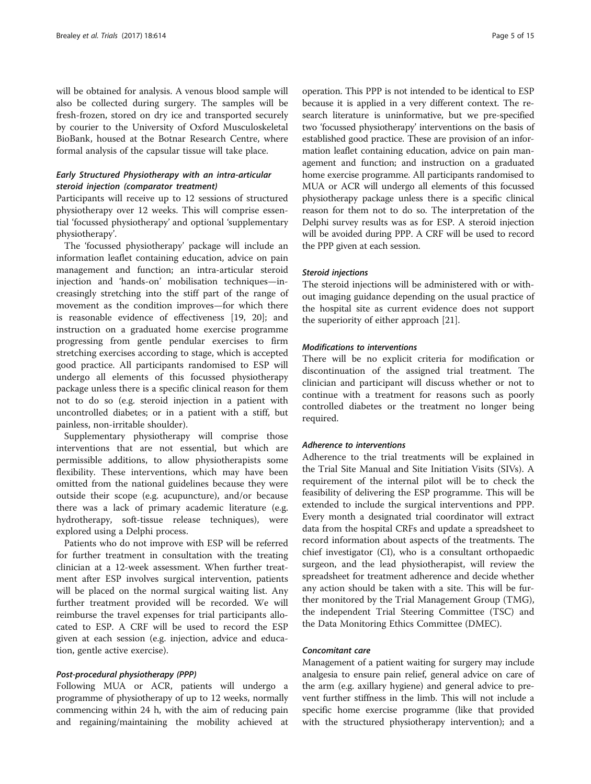will be obtained for analysis. A venous blood sample will also be collected during surgery. The samples will be fresh-frozen, stored on dry ice and transported securely by courier to the University of Oxford Musculoskeletal BioBank, housed at the Botnar Research Centre, where formal analysis of the capsular tissue will take place.

# Early Structured Physiotherapy with an intra-articular steroid injection (comparator treatment)

Participants will receive up to 12 sessions of structured physiotherapy over 12 weeks. This will comprise essential 'focussed physiotherapy' and optional 'supplementary physiotherapy'.

The 'focussed physiotherapy' package will include an information leaflet containing education, advice on pain management and function; an intra-articular steroid injection and 'hands-on' mobilisation techniques—increasingly stretching into the stiff part of the range of movement as the condition improves—for which there is reasonable evidence of effectiveness [[19, 20\]](#page-14-0); and instruction on a graduated home exercise programme progressing from gentle pendular exercises to firm stretching exercises according to stage, which is accepted good practice. All participants randomised to ESP will undergo all elements of this focussed physiotherapy package unless there is a specific clinical reason for them not to do so (e.g. steroid injection in a patient with uncontrolled diabetes; or in a patient with a stiff, but painless, non-irritable shoulder).

Supplementary physiotherapy will comprise those interventions that are not essential, but which are permissible additions, to allow physiotherapists some flexibility. These interventions, which may have been omitted from the national guidelines because they were outside their scope (e.g. acupuncture), and/or because there was a lack of primary academic literature (e.g. hydrotherapy, soft-tissue release techniques), were explored using a Delphi process.

Patients who do not improve with ESP will be referred for further treatment in consultation with the treating clinician at a 12-week assessment. When further treatment after ESP involves surgical intervention, patients will be placed on the normal surgical waiting list. Any further treatment provided will be recorded. We will reimburse the travel expenses for trial participants allocated to ESP. A CRF will be used to record the ESP given at each session (e.g. injection, advice and education, gentle active exercise).

# Post-procedural physiotherapy (PPP)

Following MUA or ACR, patients will undergo a programme of physiotherapy of up to 12 weeks, normally commencing within 24 h, with the aim of reducing pain and regaining/maintaining the mobility achieved at

operation. This PPP is not intended to be identical to ESP because it is applied in a very different context. The research literature is uninformative, but we pre-specified two 'focussed physiotherapy' interventions on the basis of established good practice. These are provision of an information leaflet containing education, advice on pain management and function; and instruction on a graduated home exercise programme. All participants randomised to MUA or ACR will undergo all elements of this focussed physiotherapy package unless there is a specific clinical reason for them not to do so. The interpretation of the Delphi survey results was as for ESP. A steroid injection will be avoided during PPP. A CRF will be used to record the PPP given at each session.

### Steroid injections

The steroid injections will be administered with or without imaging guidance depending on the usual practice of the hospital site as current evidence does not support the superiority of either approach [[21](#page-14-0)].

### Modifications to interventions

There will be no explicit criteria for modification or discontinuation of the assigned trial treatment. The clinician and participant will discuss whether or not to continue with a treatment for reasons such as poorly controlled diabetes or the treatment no longer being required.

# Adherence to interventions

Adherence to the trial treatments will be explained in the Trial Site Manual and Site Initiation Visits (SIVs). A requirement of the internal pilot will be to check the feasibility of delivering the ESP programme. This will be extended to include the surgical interventions and PPP. Every month a designated trial coordinator will extract data from the hospital CRFs and update a spreadsheet to record information about aspects of the treatments. The chief investigator (CI), who is a consultant orthopaedic surgeon, and the lead physiotherapist, will review the spreadsheet for treatment adherence and decide whether any action should be taken with a site. This will be further monitored by the Trial Management Group (TMG), the independent Trial Steering Committee (TSC) and the Data Monitoring Ethics Committee (DMEC).

# Concomitant care

Management of a patient waiting for surgery may include analgesia to ensure pain relief, general advice on care of the arm (e.g. axillary hygiene) and general advice to prevent further stiffness in the limb. This will not include a specific home exercise programme (like that provided with the structured physiotherapy intervention); and a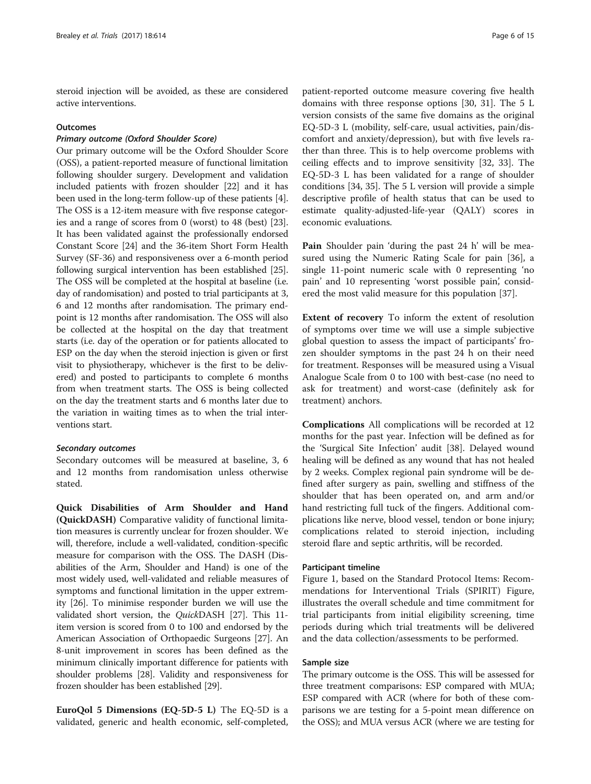steroid injection will be avoided, as these are considered active interventions.

### **Outcomes**

# Primary outcome (Oxford Shoulder Score)

Our primary outcome will be the Oxford Shoulder Score (OSS), a patient-reported measure of functional limitation following shoulder surgery. Development and validation included patients with frozen shoulder [[22](#page-14-0)] and it has been used in the long-term follow-up of these patients [[4](#page-13-0)]. The OSS is a 12-item measure with five response categories and a range of scores from 0 (worst) to 48 (best) [[23](#page-14-0)]. It has been validated against the professionally endorsed Constant Score [\[24\]](#page-14-0) and the 36-item Short Form Health Survey (SF-36) and responsiveness over a 6-month period following surgical intervention has been established [[25](#page-14-0)]. The OSS will be completed at the hospital at baseline (i.e. day of randomisation) and posted to trial participants at 3, 6 and 12 months after randomisation. The primary endpoint is 12 months after randomisation. The OSS will also be collected at the hospital on the day that treatment starts (i.e. day of the operation or for patients allocated to ESP on the day when the steroid injection is given or first visit to physiotherapy, whichever is the first to be delivered) and posted to participants to complete 6 months from when treatment starts. The OSS is being collected on the day the treatment starts and 6 months later due to the variation in waiting times as to when the trial interventions start.

### Secondary outcomes

Secondary outcomes will be measured at baseline, 3, 6 and 12 months from randomisation unless otherwise stated.

Quick Disabilities of Arm Shoulder and Hand (QuickDASH) Comparative validity of functional limitation measures is currently unclear for frozen shoulder. We will, therefore, include a well-validated, condition-specific measure for comparison with the OSS. The DASH (Disabilities of the Arm, Shoulder and Hand) is one of the most widely used, well-validated and reliable measures of symptoms and functional limitation in the upper extremity [[26](#page-14-0)]. To minimise responder burden we will use the validated short version, the QuickDASH [[27](#page-14-0)]. This 11 item version is scored from 0 to 100 and endorsed by the American Association of Orthopaedic Surgeons [[27](#page-14-0)]. An 8-unit improvement in scores has been defined as the minimum clinically important difference for patients with shoulder problems [\[28\]](#page-14-0). Validity and responsiveness for frozen shoulder has been established [[29](#page-14-0)].

EuroQol 5 Dimensions (EQ-5D-5 L) The EQ-5D is a validated, generic and health economic, self-completed, patient-reported outcome measure covering five health domains with three response options [\[30](#page-14-0), [31](#page-14-0)]. The 5 L version consists of the same five domains as the original EQ-5D-3 L (mobility, self-care, usual activities, pain/discomfort and anxiety/depression), but with five levels rather than three. This is to help overcome problems with ceiling effects and to improve sensitivity [[32, 33](#page-14-0)]. The EQ-5D-3 L has been validated for a range of shoulder conditions [[34](#page-14-0), [35](#page-14-0)]. The 5 L version will provide a simple descriptive profile of health status that can be used to estimate quality-adjusted-life-year (QALY) scores in economic evaluations.

Pain Shoulder pain 'during the past 24 h' will be measured using the Numeric Rating Scale for pain [\[36](#page-14-0)], a single 11-point numeric scale with 0 representing 'no pain' and 10 representing 'worst possible pain', considered the most valid measure for this population [\[37](#page-14-0)].

Extent of recovery To inform the extent of resolution of symptoms over time we will use a simple subjective global question to assess the impact of participants' frozen shoulder symptoms in the past 24 h on their need for treatment. Responses will be measured using a Visual Analogue Scale from 0 to 100 with best-case (no need to ask for treatment) and worst-case (definitely ask for treatment) anchors.

Complications All complications will be recorded at 12 months for the past year. Infection will be defined as for the 'Surgical Site Infection' audit [\[38](#page-14-0)]. Delayed wound healing will be defined as any wound that has not healed by 2 weeks. Complex regional pain syndrome will be defined after surgery as pain, swelling and stiffness of the shoulder that has been operated on, and arm and/or hand restricting full tuck of the fingers. Additional complications like nerve, blood vessel, tendon or bone injury; complications related to steroid injection, including steroid flare and septic arthritis, will be recorded.

# Participant timeline

Figure [1,](#page-6-0) based on the Standard Protocol Items: Recommendations for Interventional Trials (SPIRIT) Figure, illustrates the overall schedule and time commitment for trial participants from initial eligibility screening, time periods during which trial treatments will be delivered and the data collection/assessments to be performed.

### Sample size

The primary outcome is the OSS. This will be assessed for three treatment comparisons: ESP compared with MUA; ESP compared with ACR (where for both of these comparisons we are testing for a 5-point mean difference on the OSS); and MUA versus ACR (where we are testing for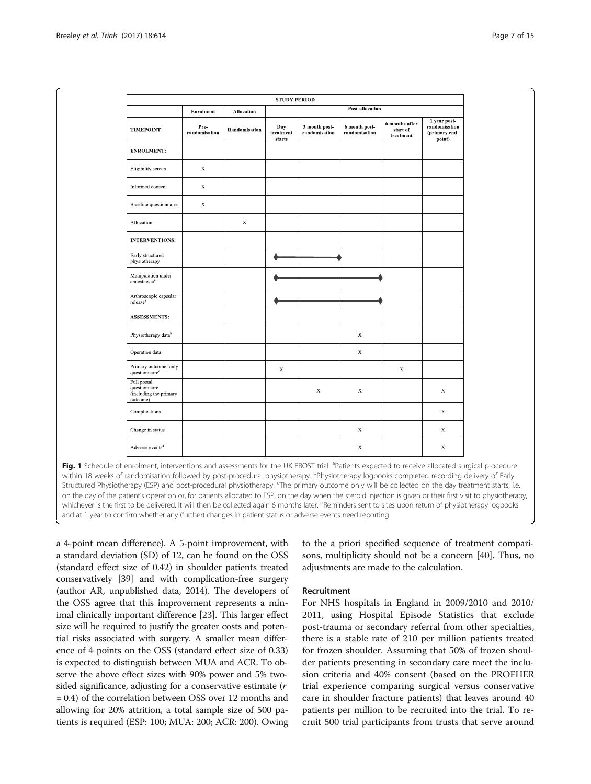<span id="page-6-0"></span>

| <b>STUDY PERIOD</b>                                                |                       |               |                            |                                |                                |                                         |                                                          |  |  |
|--------------------------------------------------------------------|-----------------------|---------------|----------------------------|--------------------------------|--------------------------------|-----------------------------------------|----------------------------------------------------------|--|--|
|                                                                    | Enrolment             | Allocation    | Post allocation            |                                |                                |                                         |                                                          |  |  |
| <b>TIMEPOINT</b>                                                   | Pre-<br>randomisation | Randomisation | Day<br>treatment<br>starts | 3 month post-<br>randomisation | 6 month post-<br>randomisation | 6 months after<br>start of<br>treatment | 1 year post-<br>randomisation<br>(primary end-<br>point) |  |  |
| <b>ENROLMENT:</b>                                                  |                       |               |                            |                                |                                |                                         |                                                          |  |  |
| Eligibility screen                                                 | $\mathbf X$           |               |                            |                                |                                |                                         |                                                          |  |  |
| Informed consent                                                   | $\mathbf X$           |               |                            |                                |                                |                                         |                                                          |  |  |
| Baseline questionnaire                                             | $\mathbf X$           |               |                            |                                |                                |                                         |                                                          |  |  |
| Allocation                                                         |                       | $\mathbf X$   |                            |                                |                                |                                         |                                                          |  |  |
| <b>INTERVENTIONS:</b>                                              |                       |               |                            |                                |                                |                                         |                                                          |  |  |
| Early structured<br>physiotherapy                                  |                       |               |                            |                                |                                |                                         |                                                          |  |  |
| Manipulation under<br>anaesthesia <sup>a</sup>                     |                       |               |                            |                                |                                |                                         |                                                          |  |  |
| Arthroscopic capsular<br>$\rm release^a$                           |                       |               |                            |                                |                                |                                         |                                                          |  |  |
| <b>ASSESSMENTS:</b>                                                |                       |               |                            |                                |                                |                                         |                                                          |  |  |
| Physiotherapy data <sup>b</sup>                                    |                       |               |                            |                                | $\mathbf X$                    |                                         |                                                          |  |  |
| Operation data                                                     |                       |               |                            |                                | $\mathbf X$                    |                                         |                                                          |  |  |
| Primary outcome only<br>questionnaire <sup>c</sup>                 |                       |               | $\mathbf X$                |                                |                                | $\mathbf X$                             |                                                          |  |  |
| Full postal<br>questionnaire<br>(including the primary<br>outcome) |                       |               |                            | $\mathbf X$                    | $\mathbf X$                    |                                         | $\mathbf X$                                              |  |  |
| Complications                                                      |                       |               |                            |                                |                                |                                         | $\mathbf X$                                              |  |  |
| Change in status <sup>d</sup>                                      |                       |               |                            |                                | $\mathbf X$                    |                                         | $\mathbf X$                                              |  |  |
| Adverse events <sup>d</sup>                                        |                       |               |                            |                                | $\mathbf X$                    |                                         | $\mathbf X$                                              |  |  |

Fig. 1 Schedule of enrolment, interventions and assessments for the UK FROST trial. <sup>a</sup>Patients expected to receive allocated surgical procedure within 18 weeks of randomisation followed by post-procedural physiotherapy. <sup>b</sup>Physiotherapy logbooks completed recording delivery of Early Structured Physiotherapy (ESP) and post-procedural physiotherapy. The primary outcome only will be collected on the day treatment starts, i.e. on the day of the patient's operation or, for patients allocated to ESP, on the day when the steroid injection is given or their first visit to physiotherapy, whichever is the first to be delivered. It will then be collected again 6 months later. <sup>d</sup>Reminders sent to sites upon return of physiotherapy logbooks and at 1 year to confirm whether any (further) changes in patient status or adverse events need reporting

a 4-point mean difference). A 5-point improvement, with a standard deviation (SD) of 12, can be found on the OSS (standard effect size of 0.42) in shoulder patients treated conservatively [\[39\]](#page-14-0) and with complication-free surgery (author AR, unpublished data, 2014). The developers of the OSS agree that this improvement represents a minimal clinically important difference [\[23\]](#page-14-0). This larger effect size will be required to justify the greater costs and potential risks associated with surgery. A smaller mean difference of 4 points on the OSS (standard effect size of 0.33) is expected to distinguish between MUA and ACR. To observe the above effect sizes with 90% power and 5% twosided significance, adjusting for a conservative estimate (r = 0.4) of the correlation between OSS over 12 months and allowing for 20% attrition, a total sample size of 500 patients is required (ESP: 100; MUA: 200; ACR: 200). Owing to the a priori specified sequence of treatment comparisons, multiplicity should not be a concern [[40](#page-14-0)]. Thus, no adjustments are made to the calculation.

# Recruitment

For NHS hospitals in England in 2009/2010 and 2010/ 2011, using Hospital Episode Statistics that exclude post-trauma or secondary referral from other specialties, there is a stable rate of 210 per million patients treated for frozen shoulder. Assuming that 50% of frozen shoulder patients presenting in secondary care meet the inclusion criteria and 40% consent (based on the PROFHER trial experience comparing surgical versus conservative care in shoulder fracture patients) that leaves around 40 patients per million to be recruited into the trial. To recruit 500 trial participants from trusts that serve around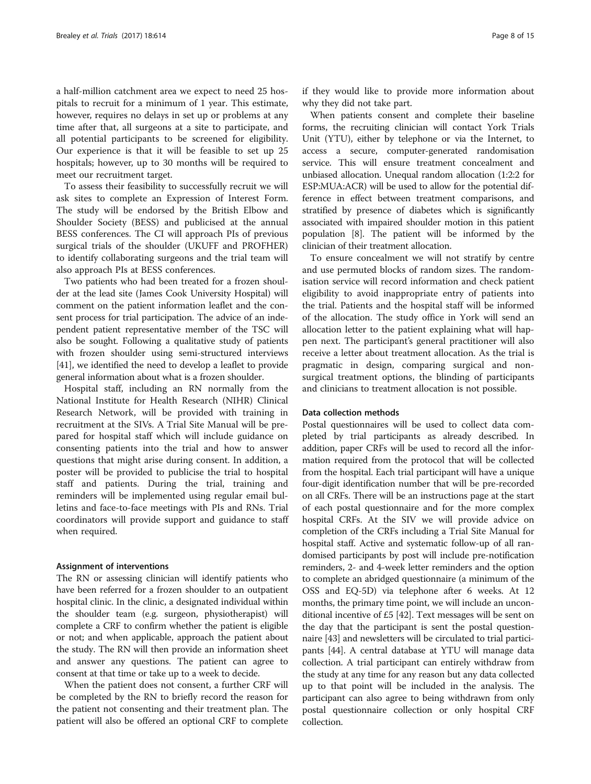a half-million catchment area we expect to need 25 hospitals to recruit for a minimum of 1 year. This estimate, however, requires no delays in set up or problems at any time after that, all surgeons at a site to participate, and all potential participants to be screened for eligibility. Our experience is that it will be feasible to set up 25 hospitals; however, up to 30 months will be required to meet our recruitment target.

To assess their feasibility to successfully recruit we will ask sites to complete an Expression of Interest Form. The study will be endorsed by the British Elbow and Shoulder Society (BESS) and publicised at the annual BESS conferences. The CI will approach PIs of previous surgical trials of the shoulder (UKUFF and PROFHER) to identify collaborating surgeons and the trial team will also approach PIs at BESS conferences.

Two patients who had been treated for a frozen shoulder at the lead site (James Cook University Hospital) will comment on the patient information leaflet and the consent process for trial participation. The advice of an independent patient representative member of the TSC will also be sought. Following a qualitative study of patients with frozen shoulder using semi-structured interviews [[41](#page-14-0)], we identified the need to develop a leaflet to provide general information about what is a frozen shoulder.

Hospital staff, including an RN normally from the National Institute for Health Research (NIHR) Clinical Research Network, will be provided with training in recruitment at the SIVs. A Trial Site Manual will be prepared for hospital staff which will include guidance on consenting patients into the trial and how to answer questions that might arise during consent. In addition, a poster will be provided to publicise the trial to hospital staff and patients. During the trial, training and reminders will be implemented using regular email bulletins and face-to-face meetings with PIs and RNs. Trial coordinators will provide support and guidance to staff when required.

### Assignment of interventions

The RN or assessing clinician will identify patients who have been referred for a frozen shoulder to an outpatient hospital clinic. In the clinic, a designated individual within the shoulder team (e.g. surgeon, physiotherapist) will complete a CRF to confirm whether the patient is eligible or not; and when applicable, approach the patient about the study. The RN will then provide an information sheet and answer any questions. The patient can agree to consent at that time or take up to a week to decide.

When the patient does not consent, a further CRF will be completed by the RN to briefly record the reason for the patient not consenting and their treatment plan. The patient will also be offered an optional CRF to complete if they would like to provide more information about why they did not take part.

When patients consent and complete their baseline forms, the recruiting clinician will contact York Trials Unit (YTU), either by telephone or via the Internet, to access a secure, computer-generated randomisation service. This will ensure treatment concealment and unbiased allocation. Unequal random allocation (1:2:2 for ESP:MUA:ACR) will be used to allow for the potential difference in effect between treatment comparisons, and stratified by presence of diabetes which is significantly associated with impaired shoulder motion in this patient population [\[8](#page-13-0)]. The patient will be informed by the clinician of their treatment allocation.

To ensure concealment we will not stratify by centre and use permuted blocks of random sizes. The randomisation service will record information and check patient eligibility to avoid inappropriate entry of patients into the trial. Patients and the hospital staff will be informed of the allocation. The study office in York will send an allocation letter to the patient explaining what will happen next. The participant's general practitioner will also receive a letter about treatment allocation. As the trial is pragmatic in design, comparing surgical and nonsurgical treatment options, the blinding of participants and clinicians to treatment allocation is not possible.

### Data collection methods

Postal questionnaires will be used to collect data completed by trial participants as already described. In addition, paper CRFs will be used to record all the information required from the protocol that will be collected from the hospital. Each trial participant will have a unique four-digit identification number that will be pre-recorded on all CRFs. There will be an instructions page at the start of each postal questionnaire and for the more complex hospital CRFs. At the SIV we will provide advice on completion of the CRFs including a Trial Site Manual for hospital staff. Active and systematic follow-up of all randomised participants by post will include pre-notification reminders, 2- and 4-week letter reminders and the option to complete an abridged questionnaire (a minimum of the OSS and EQ-5D) via telephone after 6 weeks. At 12 months, the primary time point, we will include an unconditional incentive of £5 [\[42\]](#page-14-0). Text messages will be sent on the day that the participant is sent the postal questionnaire [\[43\]](#page-14-0) and newsletters will be circulated to trial participants [[44](#page-14-0)]. A central database at YTU will manage data collection. A trial participant can entirely withdraw from the study at any time for any reason but any data collected up to that point will be included in the analysis. The participant can also agree to being withdrawn from only postal questionnaire collection or only hospital CRF collection.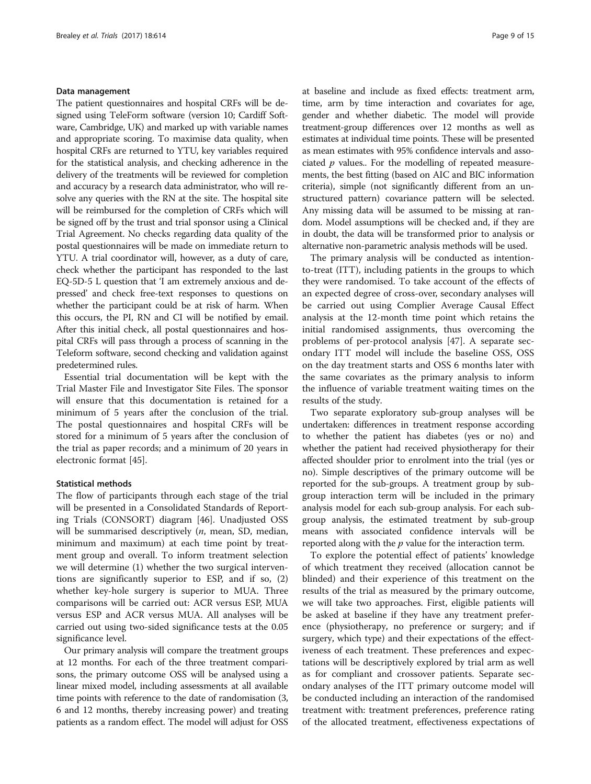### Data management

The patient questionnaires and hospital CRFs will be designed using TeleForm software (version 10; Cardiff Software, Cambridge, UK) and marked up with variable names and appropriate scoring. To maximise data quality, when hospital CRFs are returned to YTU, key variables required for the statistical analysis, and checking adherence in the delivery of the treatments will be reviewed for completion and accuracy by a research data administrator, who will resolve any queries with the RN at the site. The hospital site will be reimbursed for the completion of CRFs which will be signed off by the trust and trial sponsor using a Clinical Trial Agreement. No checks regarding data quality of the postal questionnaires will be made on immediate return to YTU. A trial coordinator will, however, as a duty of care, check whether the participant has responded to the last EQ-5D-5 L question that 'I am extremely anxious and depressed' and check free-text responses to questions on whether the participant could be at risk of harm. When this occurs, the PI, RN and CI will be notified by email. After this initial check, all postal questionnaires and hospital CRFs will pass through a process of scanning in the Teleform software, second checking and validation against predetermined rules.

Essential trial documentation will be kept with the Trial Master File and Investigator Site Files. The sponsor will ensure that this documentation is retained for a minimum of 5 years after the conclusion of the trial. The postal questionnaires and hospital CRFs will be stored for a minimum of 5 years after the conclusion of the trial as paper records; and a minimum of 20 years in electronic format [\[45](#page-14-0)].

### Statistical methods

The flow of participants through each stage of the trial will be presented in a Consolidated Standards of Reporting Trials (CONSORT) diagram [[46](#page-14-0)]. Unadjusted OSS will be summarised descriptively  $(n, \text{mean}, SD, \text{median}, \text{max})$ minimum and maximum) at each time point by treatment group and overall. To inform treatment selection we will determine (1) whether the two surgical interventions are significantly superior to ESP, and if so, (2) whether key-hole surgery is superior to MUA. Three comparisons will be carried out: ACR versus ESP, MUA versus ESP and ACR versus MUA. All analyses will be carried out using two-sided significance tests at the 0.05 significance level.

Our primary analysis will compare the treatment groups at 12 months. For each of the three treatment comparisons, the primary outcome OSS will be analysed using a linear mixed model, including assessments at all available time points with reference to the date of randomisation (3, 6 and 12 months, thereby increasing power) and treating patients as a random effect. The model will adjust for OSS at baseline and include as fixed effects: treatment arm, time, arm by time interaction and covariates for age, gender and whether diabetic. The model will provide treatment-group differences over 12 months as well as estimates at individual time points. These will be presented as mean estimates with 95% confidence intervals and associated  $p$  values.. For the modelling of repeated measurements, the best fitting (based on AIC and BIC information criteria), simple (not significantly different from an unstructured pattern) covariance pattern will be selected. Any missing data will be assumed to be missing at random. Model assumptions will be checked and, if they are in doubt, the data will be transformed prior to analysis or alternative non-parametric analysis methods will be used.

The primary analysis will be conducted as intentionto-treat (ITT), including patients in the groups to which they were randomised. To take account of the effects of an expected degree of cross-over, secondary analyses will be carried out using Complier Average Causal Effect analysis at the 12-month time point which retains the initial randomised assignments, thus overcoming the problems of per-protocol analysis [[47\]](#page-14-0). A separate secondary ITT model will include the baseline OSS, OSS on the day treatment starts and OSS 6 months later with the same covariates as the primary analysis to inform the influence of variable treatment waiting times on the results of the study.

Two separate exploratory sub-group analyses will be undertaken: differences in treatment response according to whether the patient has diabetes (yes or no) and whether the patient had received physiotherapy for their affected shoulder prior to enrolment into the trial (yes or no). Simple descriptives of the primary outcome will be reported for the sub-groups. A treatment group by subgroup interaction term will be included in the primary analysis model for each sub-group analysis. For each subgroup analysis, the estimated treatment by sub-group means with associated confidence intervals will be reported along with the  $p$  value for the interaction term.

To explore the potential effect of patients' knowledge of which treatment they received (allocation cannot be blinded) and their experience of this treatment on the results of the trial as measured by the primary outcome, we will take two approaches. First, eligible patients will be asked at baseline if they have any treatment preference (physiotherapy, no preference or surgery; and if surgery, which type) and their expectations of the effectiveness of each treatment. These preferences and expectations will be descriptively explored by trial arm as well as for compliant and crossover patients. Separate secondary analyses of the ITT primary outcome model will be conducted including an interaction of the randomised treatment with: treatment preferences, preference rating of the allocated treatment, effectiveness expectations of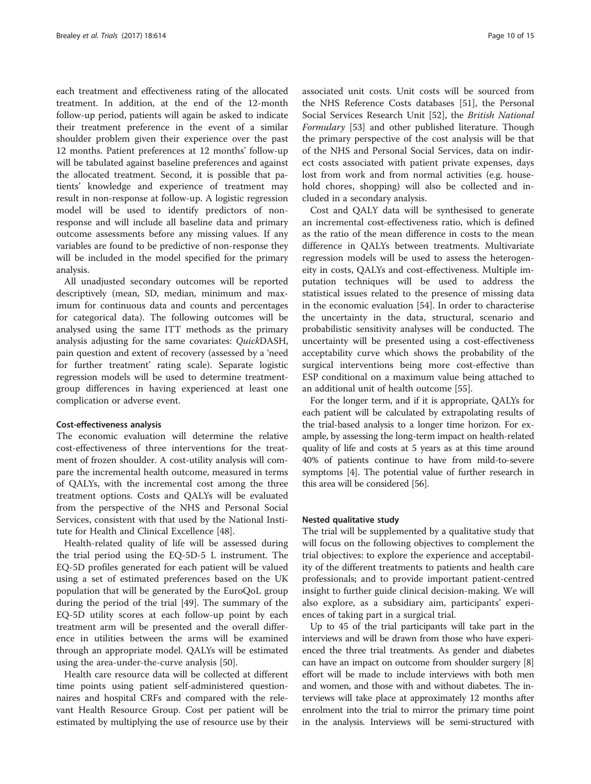each treatment and effectiveness rating of the allocated treatment. In addition, at the end of the 12-month follow-up period, patients will again be asked to indicate their treatment preference in the event of a similar shoulder problem given their experience over the past 12 months. Patient preferences at 12 months' follow-up will be tabulated against baseline preferences and against the allocated treatment. Second, it is possible that patients' knowledge and experience of treatment may result in non-response at follow-up. A logistic regression model will be used to identify predictors of nonresponse and will include all baseline data and primary outcome assessments before any missing values. If any variables are found to be predictive of non-response they will be included in the model specified for the primary analysis.

All unadjusted secondary outcomes will be reported descriptively (mean, SD, median, minimum and maximum for continuous data and counts and percentages for categorical data). The following outcomes will be analysed using the same ITT methods as the primary analysis adjusting for the same covariates: QuickDASH, pain question and extent of recovery (assessed by a 'need for further treatment' rating scale). Separate logistic regression models will be used to determine treatmentgroup differences in having experienced at least one complication or adverse event.

### Cost-effectiveness analysis

The economic evaluation will determine the relative cost-effectiveness of three interventions for the treatment of frozen shoulder. A cost-utility analysis will compare the incremental health outcome, measured in terms of QALYs, with the incremental cost among the three treatment options. Costs and QALYs will be evaluated from the perspective of the NHS and Personal Social Services, consistent with that used by the National Institute for Health and Clinical Excellence [\[48](#page-14-0)].

Health-related quality of life will be assessed during the trial period using the EQ-5D-5 L instrument. The EQ-5D profiles generated for each patient will be valued using a set of estimated preferences based on the UK population that will be generated by the EuroQoL group during the period of the trial [\[49](#page-14-0)]. The summary of the EQ-5D utility scores at each follow-up point by each treatment arm will be presented and the overall difference in utilities between the arms will be examined through an appropriate model. QALYs will be estimated using the area-under-the-curve analysis [[50](#page-14-0)].

Health care resource data will be collected at different time points using patient self-administered questionnaires and hospital CRFs and compared with the relevant Health Resource Group. Cost per patient will be estimated by multiplying the use of resource use by their

associated unit costs. Unit costs will be sourced from the NHS Reference Costs databases [\[51\]](#page-14-0), the Personal Social Services Research Unit [\[52](#page-14-0)], the British National Formulary [\[53](#page-14-0)] and other published literature. Though the primary perspective of the cost analysis will be that of the NHS and Personal Social Services, data on indirect costs associated with patient private expenses, days lost from work and from normal activities (e.g. household chores, shopping) will also be collected and included in a secondary analysis.

Cost and QALY data will be synthesised to generate an incremental cost-effectiveness ratio, which is defined as the ratio of the mean difference in costs to the mean difference in QALYs between treatments. Multivariate regression models will be used to assess the heterogeneity in costs, QALYs and cost-effectiveness. Multiple imputation techniques will be used to address the statistical issues related to the presence of missing data in the economic evaluation [\[54\]](#page-14-0). In order to characterise the uncertainty in the data, structural, scenario and probabilistic sensitivity analyses will be conducted. The uncertainty will be presented using a cost-effectiveness acceptability curve which shows the probability of the surgical interventions being more cost-effective than ESP conditional on a maximum value being attached to an additional unit of health outcome [\[55](#page-14-0)].

For the longer term, and if it is appropriate, QALYs for each patient will be calculated by extrapolating results of the trial-based analysis to a longer time horizon. For example, by assessing the long-term impact on health-related quality of life and costs at 5 years as at this time around 40% of patients continue to have from mild-to-severe symptoms [[4](#page-13-0)]. The potential value of further research in this area will be considered [[56](#page-14-0)].

### Nested qualitative study

The trial will be supplemented by a qualitative study that will focus on the following objectives to complement the trial objectives: to explore the experience and acceptability of the different treatments to patients and health care professionals; and to provide important patient-centred insight to further guide clinical decision-making. We will also explore, as a subsidiary aim, participants' experiences of taking part in a surgical trial.

Up to 45 of the trial participants will take part in the interviews and will be drawn from those who have experienced the three trial treatments. As gender and diabetes can have an impact on outcome from shoulder surgery [[8](#page-13-0)] effort will be made to include interviews with both men and women, and those with and without diabetes. The interviews will take place at approximately 12 months after enrolment into the trial to mirror the primary time point in the analysis. Interviews will be semi-structured with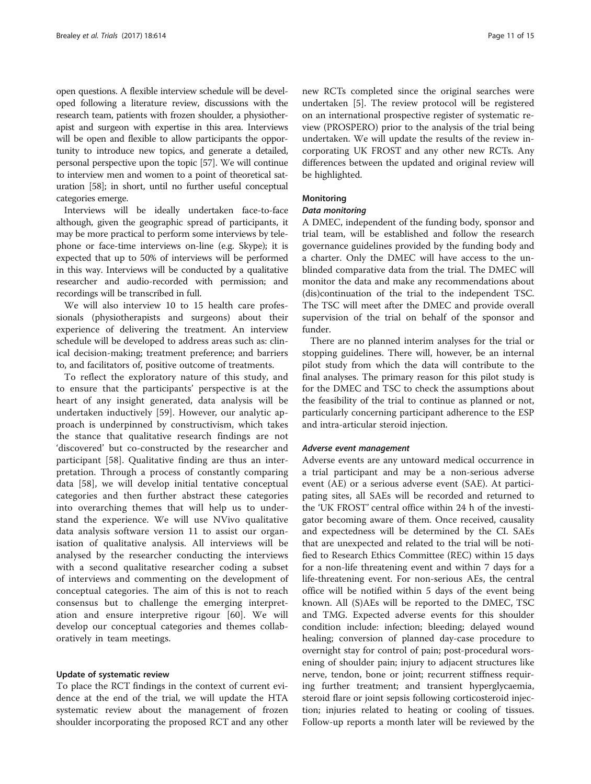open questions. A flexible interview schedule will be developed following a literature review, discussions with the research team, patients with frozen shoulder, a physiotherapist and surgeon with expertise in this area. Interviews will be open and flexible to allow participants the opportunity to introduce new topics, and generate a detailed, personal perspective upon the topic [[57](#page-14-0)]. We will continue to interview men and women to a point of theoretical saturation [[58](#page-14-0)]; in short, until no further useful conceptual categories emerge.

Interviews will be ideally undertaken face-to-face although, given the geographic spread of participants, it may be more practical to perform some interviews by telephone or face-time interviews on-line (e.g. Skype); it is expected that up to 50% of interviews will be performed in this way. Interviews will be conducted by a qualitative researcher and audio-recorded with permission; and recordings will be transcribed in full.

We will also interview 10 to 15 health care professionals (physiotherapists and surgeons) about their experience of delivering the treatment. An interview schedule will be developed to address areas such as: clinical decision-making; treatment preference; and barriers to, and facilitators of, positive outcome of treatments.

To reflect the exploratory nature of this study, and to ensure that the participants' perspective is at the heart of any insight generated, data analysis will be undertaken inductively [[59\]](#page-14-0). However, our analytic approach is underpinned by constructivism, which takes the stance that qualitative research findings are not 'discovered' but co-constructed by the researcher and participant [[58\]](#page-14-0). Qualitative finding are thus an interpretation. Through a process of constantly comparing data [\[58](#page-14-0)], we will develop initial tentative conceptual categories and then further abstract these categories into overarching themes that will help us to understand the experience. We will use NVivo qualitative data analysis software version 11 to assist our organisation of qualitative analysis. All interviews will be analysed by the researcher conducting the interviews with a second qualitative researcher coding a subset of interviews and commenting on the development of conceptual categories. The aim of this is not to reach consensus but to challenge the emerging interpretation and ensure interpretive rigour [[60](#page-14-0)]. We will develop our conceptual categories and themes collaboratively in team meetings.

# Update of systematic review

To place the RCT findings in the context of current evidence at the end of the trial, we will update the HTA systematic review about the management of frozen shoulder incorporating the proposed RCT and any other new RCTs completed since the original searches were undertaken [[5\]](#page-13-0). The review protocol will be registered on an international prospective register of systematic review (PROSPERO) prior to the analysis of the trial being undertaken. We will update the results of the review incorporating UK FROST and any other new RCTs. Any differences between the updated and original review will be highlighted.

# Monitoring

# Data monitoring

A DMEC, independent of the funding body, sponsor and trial team, will be established and follow the research governance guidelines provided by the funding body and a charter. Only the DMEC will have access to the unblinded comparative data from the trial. The DMEC will monitor the data and make any recommendations about (dis)continuation of the trial to the independent TSC. The TSC will meet after the DMEC and provide overall supervision of the trial on behalf of the sponsor and funder.

There are no planned interim analyses for the trial or stopping guidelines. There will, however, be an internal pilot study from which the data will contribute to the final analyses. The primary reason for this pilot study is for the DMEC and TSC to check the assumptions about the feasibility of the trial to continue as planned or not, particularly concerning participant adherence to the ESP and intra-articular steroid injection.

### Adverse event management

Adverse events are any untoward medical occurrence in a trial participant and may be a non-serious adverse event (AE) or a serious adverse event (SAE). At participating sites, all SAEs will be recorded and returned to the 'UK FROST' central office within 24 h of the investigator becoming aware of them. Once received, causality and expectedness will be determined by the CI. SAEs that are unexpected and related to the trial will be notified to Research Ethics Committee (REC) within 15 days for a non-life threatening event and within 7 days for a life-threatening event. For non-serious AEs, the central office will be notified within 5 days of the event being known. All (S)AEs will be reported to the DMEC, TSC and TMG. Expected adverse events for this shoulder condition include: infection; bleeding; delayed wound healing; conversion of planned day-case procedure to overnight stay for control of pain; post-procedural worsening of shoulder pain; injury to adjacent structures like nerve, tendon, bone or joint; recurrent stiffness requiring further treatment; and transient hyperglycaemia, steroid flare or joint sepsis following corticosteroid injection; injuries related to heating or cooling of tissues. Follow-up reports a month later will be reviewed by the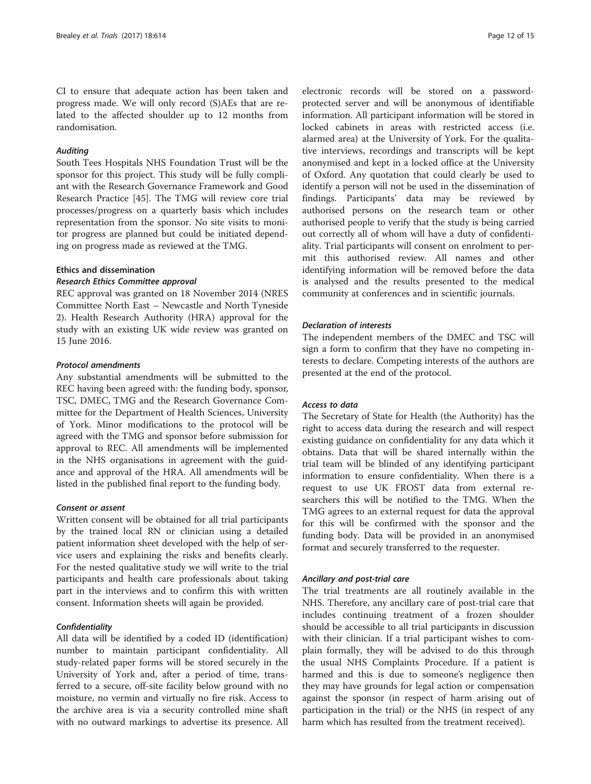CI to ensure that adequate action has been taken and progress made. We will only record (S)AEs that are related to the affected shoulder up to 12 months from randomisation.

### **Auditing**

South Tees Hospitals NHS Foundation Trust will be the sponsor for this project. This study will be fully compliant with the Research Governance Framework and Good Research Practice [\[45\]](#page-14-0). The TMG will review core trial processes/progress on a quarterly basis which includes representation from the sponsor. No site visits to monitor progress are planned but could be initiated depending on progress made as reviewed at the TMG.

# Ethics and dissemination

### Research Ethics Committee approval

REC approval was granted on 18 November 2014 (NRES Committee North East – Newcastle and North Tyneside 2). Health Research Authority (HRA) approval for the study with an existing UK wide review was granted on 15 June 2016.

# Protocol amendments

Any substantial amendments will be submitted to the REC having been agreed with: the funding body, sponsor, TSC, DMEC, TMG and the Research Governance Committee for the Department of Health Sciences, University of York. Minor modifications to the protocol will be agreed with the TMG and sponsor before submission for approval to REC. All amendments will be implemented in the NHS organisations in agreement with the guidance and approval of the HRA. All amendments will be listed in the published final report to the funding body.

# Consent or assent

Written consent will be obtained for all trial participants by the trained local RN or clinician using a detailed patient information sheet developed with the help of service users and explaining the risks and benefits clearly. For the nested qualitative study we will write to the trial participants and health care professionals about taking part in the interviews and to confirm this with written consent. Information sheets will again be provided.

### **Confidentiality**

All data will be identified by a coded ID (identification) number to maintain participant confidentiality. All study-related paper forms will be stored securely in the University of York and, after a period of time, transferred to a secure, off-site facility below ground with no moisture, no vermin and virtually no fire risk. Access to the archive area is via a security controlled mine shaft with no outward markings to advertise its presence. All

electronic records will be stored on a passwordprotected server and will be anonymous of identifiable information. All participant information will be stored in locked cabinets in areas with restricted access (i.e. alarmed area) at the University of York. For the qualitative interviews, recordings and transcripts will be kept anonymised and kept in a locked office at the University of Oxford. Any quotation that could clearly be used to identify a person will not be used in the dissemination of findings. Participants' data may be reviewed by authorised persons on the research team or other authorised people to verify that the study is being carried out correctly all of whom will have a duty of confidentiality. Trial participants will consent on enrolment to permit this authorised review. All names and other identifying information will be removed before the data is analysed and the results presented to the medical community at conferences and in scientific journals.

# Declaration of interests

The independent members of the DMEC and TSC will sign a form to confirm that they have no competing interests to declare. Competing interests of the authors are presented at the end of the protocol.

# Access to data

The Secretary of State for Health (the Authority) has the right to access data during the research and will respect existing guidance on confidentiality for any data which it obtains. Data that will be shared internally within the trial team will be blinded of any identifying participant information to ensure confidentiality. When there is a request to use UK FROST data from external researchers this will be notified to the TMG. When the TMG agrees to an external request for data the approval for this will be confirmed with the sponsor and the funding body. Data will be provided in an anonymised format and securely transferred to the requester.

## Ancillary and post-trial care

The trial treatments are all routinely available in the NHS. Therefore, any ancillary care of post-trial care that includes continuing treatment of a frozen shoulder should be accessible to all trial participants in discussion with their clinician. If a trial participant wishes to complain formally, they will be advised to do this through the usual NHS Complaints Procedure. If a patient is harmed and this is due to someone's negligence then they may have grounds for legal action or compensation against the sponsor (in respect of harm arising out of participation in the trial) or the NHS (in respect of any harm which has resulted from the treatment received).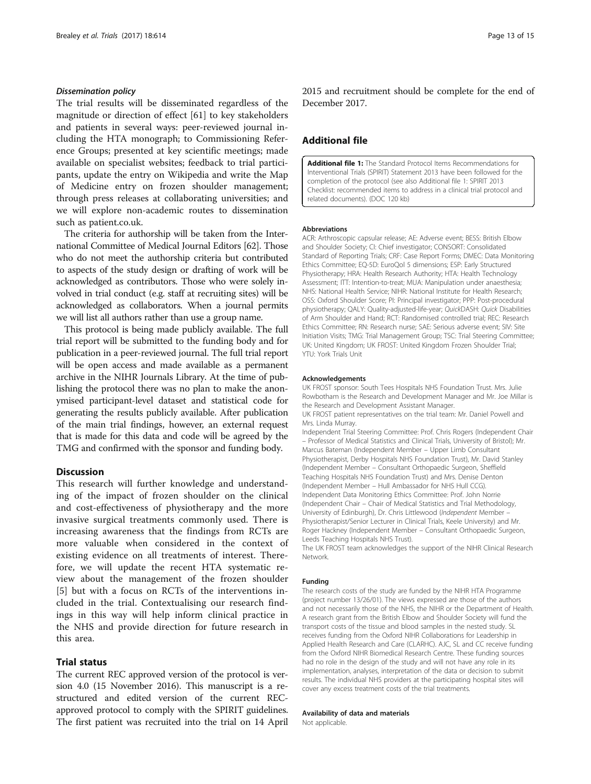# <span id="page-12-0"></span>Dissemination policy

The trial results will be disseminated regardless of the magnitude or direction of effect [\[61\]](#page-14-0) to key stakeholders and patients in several ways: peer-reviewed journal including the HTA monograph; to Commissioning Reference Groups; presented at key scientific meetings; made available on specialist websites; feedback to trial participants, update the entry on Wikipedia and write the Map of Medicine entry on frozen shoulder management; through press releases at collaborating universities; and we will explore non-academic routes to dissemination such as patient.co.uk.

The criteria for authorship will be taken from the International Committee of Medical Journal Editors [[62](#page-14-0)]. Those who do not meet the authorship criteria but contributed to aspects of the study design or drafting of work will be acknowledged as contributors. Those who were solely involved in trial conduct (e.g. staff at recruiting sites) will be acknowledged as collaborators. When a journal permits we will list all authors rather than use a group name.

This protocol is being made publicly available. The full trial report will be submitted to the funding body and for publication in a peer-reviewed journal. The full trial report will be open access and made available as a permanent archive in the NIHR Journals Library. At the time of publishing the protocol there was no plan to make the anonymised participant-level dataset and statistical code for generating the results publicly available. After publication of the main trial findings, however, an external request that is made for this data and code will be agreed by the TMG and confirmed with the sponsor and funding body.

# **Discussion**

This research will further knowledge and understanding of the impact of frozen shoulder on the clinical and cost-effectiveness of physiotherapy and the more invasive surgical treatments commonly used. There is increasing awareness that the findings from RCTs are more valuable when considered in the context of existing evidence on all treatments of interest. Therefore, we will update the recent HTA systematic review about the management of the frozen shoulder [[5\]](#page-13-0) but with a focus on RCTs of the interventions included in the trial. Contextualising our research findings in this way will help inform clinical practice in the NHS and provide direction for future research in this area.

### Trial status

The current REC approved version of the protocol is version 4.0 (15 November 2016). This manuscript is a restructured and edited version of the current RECapproved protocol to comply with the SPIRIT guidelines. The first patient was recruited into the trial on 14 April 2015 and recruitment should be complete for the end of December 2017.

## Additional file

[Additional file 1:](dx.doi.org/10.1186/s13063-017-2352-2) The Standard Protocol Items Recommendations for Interventional Trials (SPIRIT) Statement 2013 have been followed for the completion of the protocol (see also Additional file 1: SPIRIT 2013 Checklist: recommended items to address in a clinical trial protocol and related documents). (DOC 120 kb)

#### Abbreviations

ACR: Arthroscopic capsular release; AE: Adverse event; BESS: British Elbow and Shoulder Society; CI: Chief investigator; CONSORT: Consolidated Standard of Reporting Trials; CRF: Case Report Forms; DMEC: Data Monitoring Ethics Committee; EQ-5D: EuroQol 5 dimensions; ESP: Early Structured Physiotherapy; HRA: Health Research Authority; HTA: Health Technology Assessment; ITT: Intention-to-treat; MUA: Manipulation under anaesthesia; NHS: National Health Service; NIHR: National Institute for Health Research; OSS: Oxford Shoulder Score; PI: Principal investigator; PPP: Post-procedural physiotherapy; QALY: Quality-adjusted-life-year; QuickDASH: Quick Disabilities of Arm Shoulder and Hand; RCT: Randomised controlled trial; REC: Research Ethics Committee; RN: Research nurse; SAE: Serious adverse event; SIV: Site Initiation Visits; TMG: Trial Management Group; TSC: Trial Steering Committee; UK: United Kingdom; UK FROST: United Kingdom Frozen Shoulder Trial; YTU: York Trials Unit

#### Acknowledgements

UK FROST sponsor: South Tees Hospitals NHS Foundation Trust. Mrs. Julie Rowbotham is the Research and Development Manager and Mr. Joe Millar is the Research and Development Assistant Manager. UK FROST patient representatives on the trial team: Mr. Daniel Powell and

Mrs. Linda Murray.

Independent Trial Steering Committee: Prof. Chris Rogers (Independent Chair – Professor of Medical Statistics and Clinical Trials, University of Bristol); Mr. Marcus Bateman (Independent Member – Upper Limb Consultant Physiotherapist, Derby Hospitals NHS Foundation Trust), Mr. David Stanley (Independent Member – Consultant Orthopaedic Surgeon, Sheffield Teaching Hospitals NHS Foundation Trust) and Mrs. Denise Denton (Independent Member – Hull Ambassador for NHS Hull CCG). Independent Data Monitoring Ethics Committee: Prof. John Norrie (Independent Chair – Chair of Medical Statistics and Trial Methodology, University of Edinburgh), Dr. Chris Littlewood (Independent Member -Physiotherapist/Senior Lecturer in Clinical Trials, Keele University) and Mr. Roger Hackney (Independent Member – Consultant Orthopaedic Surgeon, Leeds Teaching Hospitals NHS Trust).

The UK FROST team acknowledges the support of the NIHR Clinical Research Network.

#### Funding

The research costs of the study are funded by the NIHR HTA Programme (project number 13/26/01). The views expressed are those of the authors and not necessarily those of the NHS, the NIHR or the Department of Health. A research grant from the British Elbow and Shoulder Society will fund the transport costs of the tissue and blood samples in the nested study. SL receives funding from the Oxford NIHR Collaborations for Leadership in Applied Health Research and Care (CLARHC). AJC, SL and CC receive funding from the Oxford NIHR Biomedical Research Centre. These funding sources had no role in the design of the study and will not have any role in its implementation, analyses, interpretation of the data or decision to submit results. The individual NHS providers at the participating hospital sites will cover any excess treatment costs of the trial treatments.

### Availability of data and materials

Not applicable.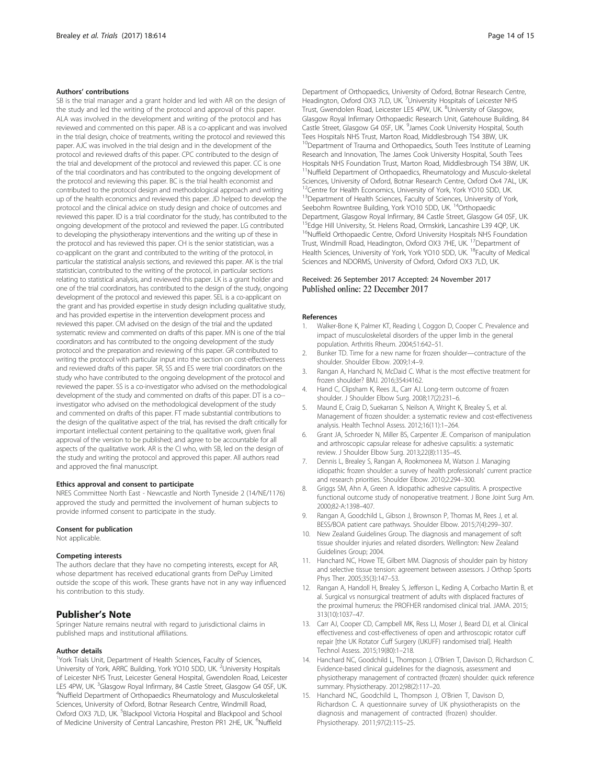### <span id="page-13-0"></span>Authors' contributions

SB is the trial manager and a grant holder and led with AR on the design of the study and led the writing of the protocol and approval of this paper. ALA was involved in the development and writing of the protocol and has reviewed and commented on this paper. AB is a co-applicant and was involved in the trial design, choice of treatments, writing the protocol and reviewed this paper. AJC was involved in the trial design and in the development of the protocol and reviewed drafts of this paper. CPC contributed to the design of the trial and development of the protocol and reviewed this paper. CC is one of the trial coordinators and has contributed to the ongoing development of the protocol and reviewing this paper. BC is the trial health economist and contributed to the protocol design and methodological approach and writing up of the health economics and reviewed this paper. JD helped to develop the protocol and the clinical advice on study design and choice of outcomes and reviewed this paper. ID is a trial coordinator for the study, has contributed to the ongoing development of the protocol and reviewed the paper. LG contributed to developing the physiotherapy interventions and the writing up of these in the protocol and has reviewed this paper. CH is the senior statistician, was a co-applicant on the grant and contributed to the writing of the protocol, in particular the statistical analysis sections, and reviewed this paper. AK is the trial statistician, contributed to the writing of the protocol, in particular sections relating to statistical analysis, and reviewed this paper. LK is a grant holder and one of the trial coordinators, has contributed to the design of the study, ongoing development of the protocol and reviewed this paper. SEL is a co-applicant on the grant and has provided expertise in study design including qualitative study, and has provided expertise in the intervention development process and reviewed this paper. CM advised on the design of the trial and the updated systematic review and commented on drafts of this paper. MN is one of the trial coordinators and has contributed to the ongoing development of the study protocol and the preparation and reviewing of this paper. GR contributed to writing the protocol with particular input into the section on cost-effectiveness and reviewed drafts of this paper. SR, SS and ES were trial coordinators on the study who have contributed to the ongoing development of the protocol and reviewed the paper. SS is a co-investigator who advised on the methodological development of the study and commented on drafts of this paper. DT is a co- investigator who advised on the methodological development of the study and commented on drafts of this paper. FT made substantial contributions to the design of the qualitative aspect of the trial, has revised the draft critically for important intellectual content pertaining to the qualitative work, given final approval of the version to be published; and agree to be accountable for all aspects of the qualitative work. AR is the CI who, with SB, led on the design of the study and writing the protocol and approved this paper. All authors read and approved the final manuscript.

### Ethics approval and consent to participate

NRES Committee North East - Newcastle and North Tyneside 2 (14/NE/1176) approved the study and permitted the involvement of human subjects to provide informed consent to participate in the study.

#### Consent for publication

Not applicable.

### Competing interests

The authors declare that they have no competing interests, except for AR, whose department has received educational grants from DePuy Limited outside the scope of this work. These grants have not in any way influenced his contribution to this study.

# Publisher's Note

Springer Nature remains neutral with regard to jurisdictional claims in published maps and institutional affiliations.

### Author details

<sup>1</sup>York Trials Unit, Department of Health Sciences, Faculty of Sciences, University of York, ARRC Building, York YO10 5DD, UK. <sup>2</sup>University Hospitals of Leicester NHS Trust, Leicester General Hospital, Gwendolen Road, Leicester LE5 4PW, UK. <sup>3</sup>Glasgow Royal Infirmary, 84 Castle Street, Glasgow G4 0SF, UK.<br><sup>4</sup>Nuffield Department of Orthopaedics Phoumatelogy and Musculoskeletal <sup>4</sup>Nuffield Department of Orthopaedics Rheumatology and Musculoskeletal Sciences, University of Oxford, Botnar Research Centre, Windmill Road, Oxford OX3 7LD, UK. <sup>5</sup>Blackpool Victoria Hospital and Blackpool and School of Medicine University of Central Lancashire, Preston PR1 2HE, UK. <sup>6</sup>Nuffield

Department of Orthopaedics, University of Oxford, Botnar Research Centre, Headington, Oxford OX3 7LD, UK. <sup>7</sup>University Hospitals of Leicester NHS Trust, Gwendolen Road, Leicester LE5 4PW, UK. <sup>8</sup>University of Glasgow, Glasgow Royal Infirmary Orthopaedic Research Unit, Gatehouse Building, 84 Castle Street, Glasgow G4 0SF, UK. <sup>9</sup>James Cook University Hospital, South Tees Hospitals NHS Trust, Marton Road, Middlesbrough TS4 3BW, UK. <sup>10</sup>Department of Trauma and Orthopaedics, South Tees Institute of Learning Research and Innovation, The James Cook University Hospital, South Tees Hospitals NHS Foundation Trust, Marton Road, Middlesbrough TS4 3BW, UK. <sup>11</sup>Nuffield Department of Orthopaedics, Rheumatology and Musculo-skeletal Sciences, University of Oxford, Botnar Research Centre, Oxford Ox4 7AL, UK. <sup>12</sup>Centre for Health Economics, University of York, York YO10 5DD, UK. <sup>13</sup>Department of Health Sciences, Faculty of Sciences, University of York, Seebohm Rowntree Building, York YO10 5DD, UK. <sup>14</sup>Orthopaedic Department, Glasgow Royal Infirmary, 84 Castle Street, Glasgow G4 0SF, UK. <sup>15</sup>Edge Hill University, St. Helens Road, Ormskirk, Lancashire L39 4QP, UK. <sup>16</sup>Nuffield Orthopaedic Centre, Oxford University Hospitals NHS Foundation Trust, Windmill Road, Headington, Oxford OX3 7HE, UK. 17Department of Health Sciences, University of York, York YO10 5DD, UK. <sup>18</sup>Faculty of Medical Sciences and NDORMS, University of Oxford, Oxford OX3 7LD, UK.

### Received: 26 September 2017 Accepted: 24 November 2017 Published online: 22 December 2017

### References

- 1. Walker-Bone K, Palmer KT, Reading I, Coggon D, Cooper C. Prevalence and impact of musculoskeletal disorders of the upper limb in the general population. Arthritis Rheum. 2004;51:642–51.
- 2. Bunker TD. Time for a new name for frozen shoulder—contracture of the shoulder. Shoulder Elbow. 2009;1:4–9.
- 3. Rangan A, Hanchard N, McDaid C. What is the most effective treatment for frozen shoulder? BMJ. 2016;354:i4162.
- Hand C, Clipsham K, Rees JL, Carr AJ. Long-term outcome of frozen shoulder. J Shoulder Elbow Surg. 2008;17(2):231–6.
- 5. Maund E, Craig D, Suekarran S, Neilson A, Wright K, Brealey S, et al. Management of frozen shoulder: a systematic review and cost-effectiveness analysis. Health Technol Assess. 2012;16(11):1–264.
- 6. Grant JA, Schroeder N, Miller BS, Carpenter JE. Comparison of manipulation and arthroscopic capsular release for adhesive capsulitis: a systematic review. J Shoulder Elbow Surg. 2013;22(8):1135–45.
- 7. Dennis L, Brealey S, Rangan A, Rookmoneea M, Watson J. Managing idiopathic frozen shoulder: a survey of health professionals' current practice and research priorities. Shoulder Elbow. 2010;2:294–300.
- Griggs SM, Ahn A, Green A. Idiopathic adhesive capsulitis. A prospective functional outcome study of nonoperative treatment. J Bone Joint Surg Am. 2000;82-A:1398–407.
- 9. Rangan A, Goodchild L, Gibson J, Brownson P, Thomas M, Rees J, et al. BESS/BOA patient care pathways. Shoulder Elbow. 2015;7(4):299–307.
- 10. New Zealand Guidelines Group. The diagnosis and management of soft tissue shoulder injuries and related disorders. Wellington: New Zealand Guidelines Group; 2004.
- 11. Hanchard NC, Howe TE, Gilbert MM. Diagnosis of shoulder pain by history and selective tissue tension: agreement between assessors. J Orthop Sports Phys Ther. 2005;35(3):147–53.
- 12. Rangan A, Handoll H, Brealey S, Jefferson L, Keding A, Corbacho Martin B, et al. Surgical vs nonsurgical treatment of adults with displaced fractures of the proximal humerus: the PROFHER randomised clinical trial. JAMA. 2015; 313(10):1037–47.
- 13. Carr AJ, Cooper CD, Campbell MK, Ress LJ, Moser J, Beard DJ, et al. Clinical effectiveness and cost-effectiveness of open and arthroscopic rotator cuff repair [the UK Rotator Cuff Surgery (UKUFF) randomised trial]. Health Technol Assess. 2015;19(80):1–218.
- 14. Hanchard NC, Goodchild L, Thompson J, O'Brien T, Davison D, Richardson C. Evidence-based clinical guidelines for the diagnosis, assessment and physiotherapy management of contracted (frozen) shoulder: quick reference summary. Physiotherapy. 2012;98(2):117–20.
- 15. Hanchard NC, Goodchild L, Thompson J, O'Brien T, Davison D, Richardson C. A questionnaire survey of UK physiotherapists on the diagnosis and management of contracted (frozen) shoulder. Physiotherapy. 2011;97(2):115–25.